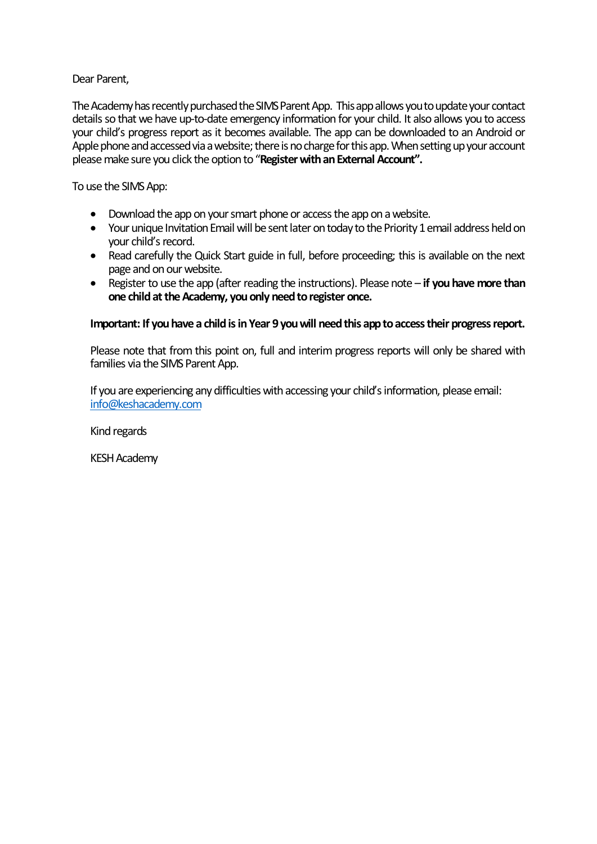## Dear Parent,

The Academy has recently purchased the SIMS Parent App. This app allows you to update your contact details so that we have up-to-date emergency information for your child. It also allows you to access your child's progress report as it becomes available. The app can be downloaded to an Android or Apple phone and accessed via a website; there is no charge for this app. When setting up your account please make sure you click the option to "**Register with an External Account".**

To use the SIMS App:

- Download the app on your smart phone or access the app on a website.
- Your unique Invitation Email will be sent later on today to the Priority 1 email address held on your child's record.
- Read carefully the Quick Start guide in full, before proceeding; this is available on the next page and on our website.
- Register to use the app (after reading the instructions). Please note **if you have more than one child at the Academy, you only need to register once.**

## Important: If you have a child is in Year 9 you will need this app to access their progress report.

Please note that from this point on, full and interim progress reports will only be shared with families via the SIMS Parent App.

If you are experiencing any difficulties with accessing your child's information, please email: info@keshacademy.com

Kind regards

KESH Academy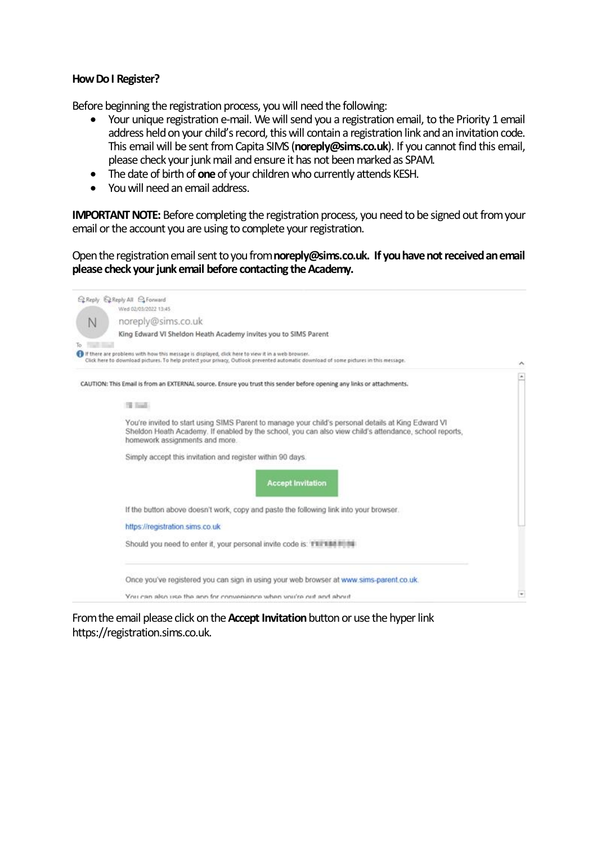## **How Do I Register?**

Before beginning the registration process, you will need the following:

- Your unique registration e-mail. We will send you a registration email, to the Priority 1 email address held on your child's record, this will contain a registration link and an invitation code. This email will be sent from Capita SIMS (**noreply@sims.co.uk**). If you cannot find this email, please check your junk mail and ensure it has not been marked as SPAM.
- The date of birth of **one**of your children who currently attends KESH.
- You will need an email address.

**IMPORTANT NOTE:** Before completing the registration process, you need to be signed out from your email or the account you are using to complete your registration.

Open the registration email sent to you from **noreply@sims.co.uk. If you have not received an email please check your junk email before contacting the Academy.**

| ELReply ELReply All ELForward<br>Wed 02/03/2022 13:45                                                                                                                                                                                           |                          |
|-------------------------------------------------------------------------------------------------------------------------------------------------------------------------------------------------------------------------------------------------|--------------------------|
| noreply@sims.co.uk<br>Ν                                                                                                                                                                                                                         |                          |
| King Edward VI Sheldon Heath Academy invites you to SIMS Parent                                                                                                                                                                                 |                          |
| If there are problems with how this message is displayed, click here to view it in a web browser.                                                                                                                                               |                          |
| Click here to download pictures. To help protect your privacy, Outlook prevented automatic download of some pictures in this message.                                                                                                           |                          |
| CAUTION: This Email is from an EXTERNAL source. Ensure you trust this sender before opening any links or attachments.                                                                                                                           | ×                        |
| The Found of                                                                                                                                                                                                                                    |                          |
| You're invited to start using SIMS Parent to manage your child's personal details at King Edward VI<br>Sheldon Heath Academy. If enabled by the school, you can also view child's attendance, school reports,<br>homework assignments and more. |                          |
| Simply accept this invitation and register within 90 days.                                                                                                                                                                                      |                          |
| <b>Accept Invitation</b>                                                                                                                                                                                                                        |                          |
| If the button above doesn't work, copy and paste the following link into your browser.                                                                                                                                                          |                          |
| https://registration.sims.co.uk                                                                                                                                                                                                                 |                          |
| Should you need to enter it, your personal invite code is: TEFEBBITIBE                                                                                                                                                                          |                          |
| Once you've registered you can sign in using your web browser at www.sims-parent.co.uk.                                                                                                                                                         |                          |
| You can also use the ann for convenience when wur're out and about                                                                                                                                                                              | $\overline{\phantom{a}}$ |

From the email please click on the **Accept Invitation**button or use the hyper link https://registration.sims.co.uk.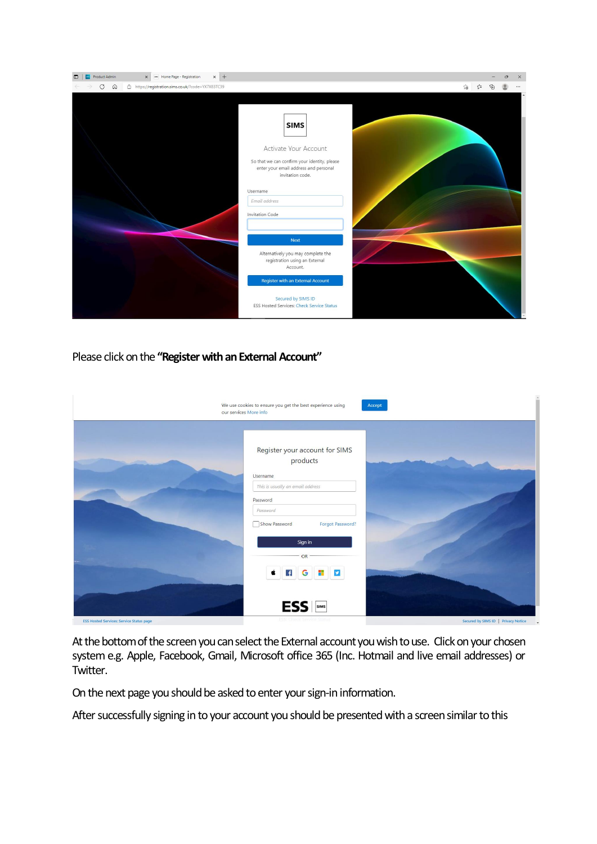| $\times$ +<br>ses Home Page - Registration<br>Product Admin<br>$\times$       |                                                                                                                                                                                                                |    | Ō<br>$\times$ |
|-------------------------------------------------------------------------------|----------------------------------------------------------------------------------------------------------------------------------------------------------------------------------------------------------------|----|---------------|
| $\mathcal{C}$<br>$\Omega$<br>https://registration.sims.co.uk/?code=YX7X83TC39 |                                                                                                                                                                                                                | 28 |               |
|                                                                               | <b>SIMS</b><br>Activate Your Account<br>So that we can confirm your identity, please<br>enter your email address and personal<br>invitation code.<br>Username<br>Email address<br><b>Invitation Code</b>       |    |               |
|                                                                               | <b>Next</b><br>Alternatively you may complete the<br>registration using an External<br>Account.<br><b>Register with an External Account</b><br>Secured by SIMS ID<br>ESS Hosted Services: Check Service Status |    |               |

Please click on the **"Register with an External Account"**

|                                                 | We use cookies to ensure you get the best experience using<br>Accept<br>our services More info |                                     |
|-------------------------------------------------|------------------------------------------------------------------------------------------------|-------------------------------------|
|                                                 | Register your account for SIMS<br>products<br>Username                                         |                                     |
|                                                 | This is usually an email address<br>Password<br>Password<br>Show Password<br>Forgot Password?  |                                     |
|                                                 | Sign in<br>OR<br><b># 1</b><br>G<br>$\mathbf{f}$<br>Œ                                          |                                     |
| <b>ESS Hosted Services: Service Status page</b> | <b>ESS</b><br><b>ESS: Check Service Status</b>                                                 | Secured by SIMS ID   Privacy Notice |

At the bottom of the screen you can select the External account you wish to use. Click on your chosen system e.g. Apple, Facebook, Gmail, Microsoft office 365 (Inc. Hotmail and live email addresses) or Twitter.

On the next page you should be asked to enter your sign-in information.

After successfully signing in to your account you should be presented with a screen similar to this